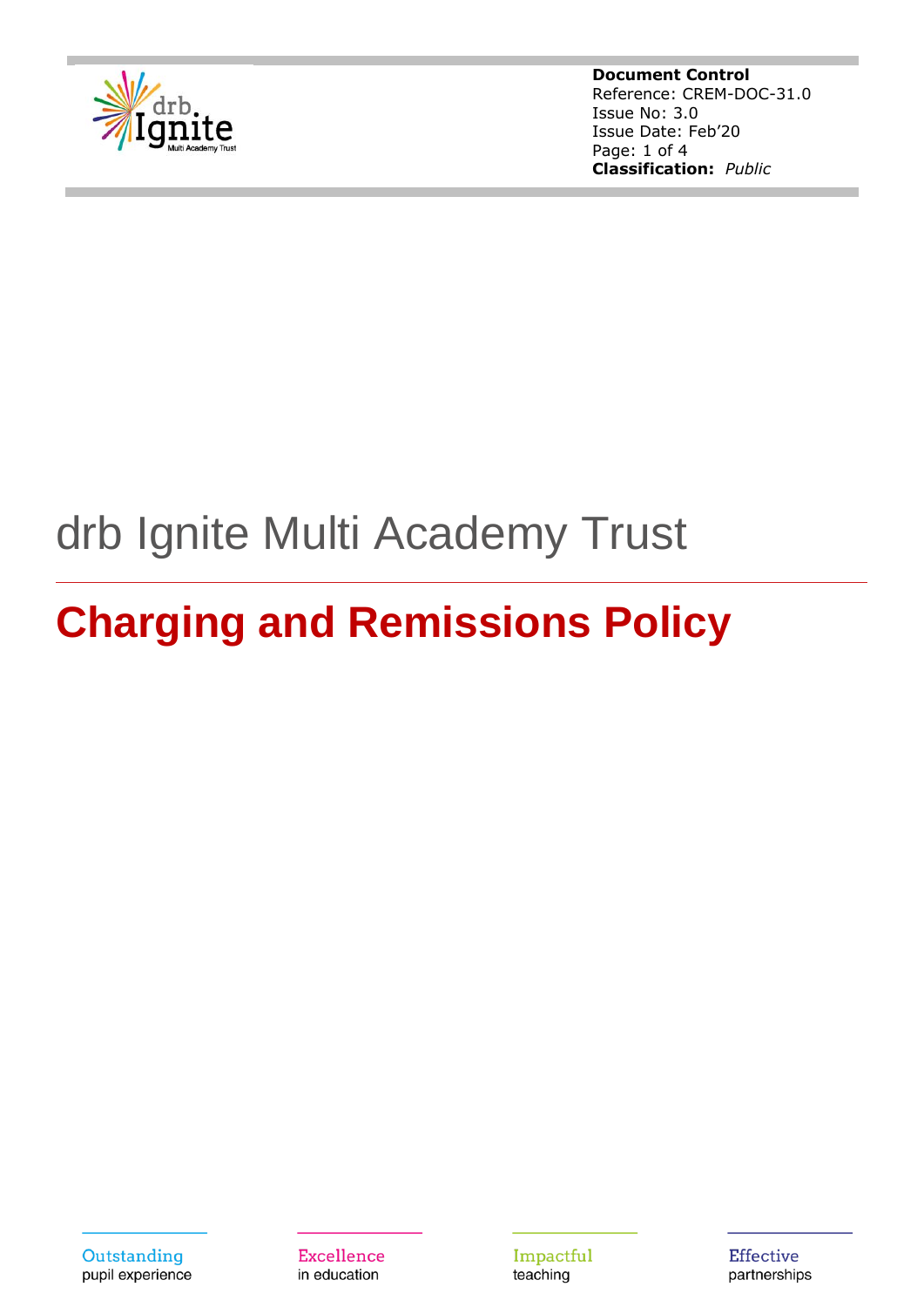

**Document Control** Reference: CREM-DOC-31.0 Issue No: 3.0 Issue Date: Feb'20 Page: 1 of 4 **Classification:** *Public*

## drb Ignite Multi Academy Trust

# **Charging and Remissions Policy**

Outstanding pupil experience Excellence in education

Impactful teaching

**Effective** partnerships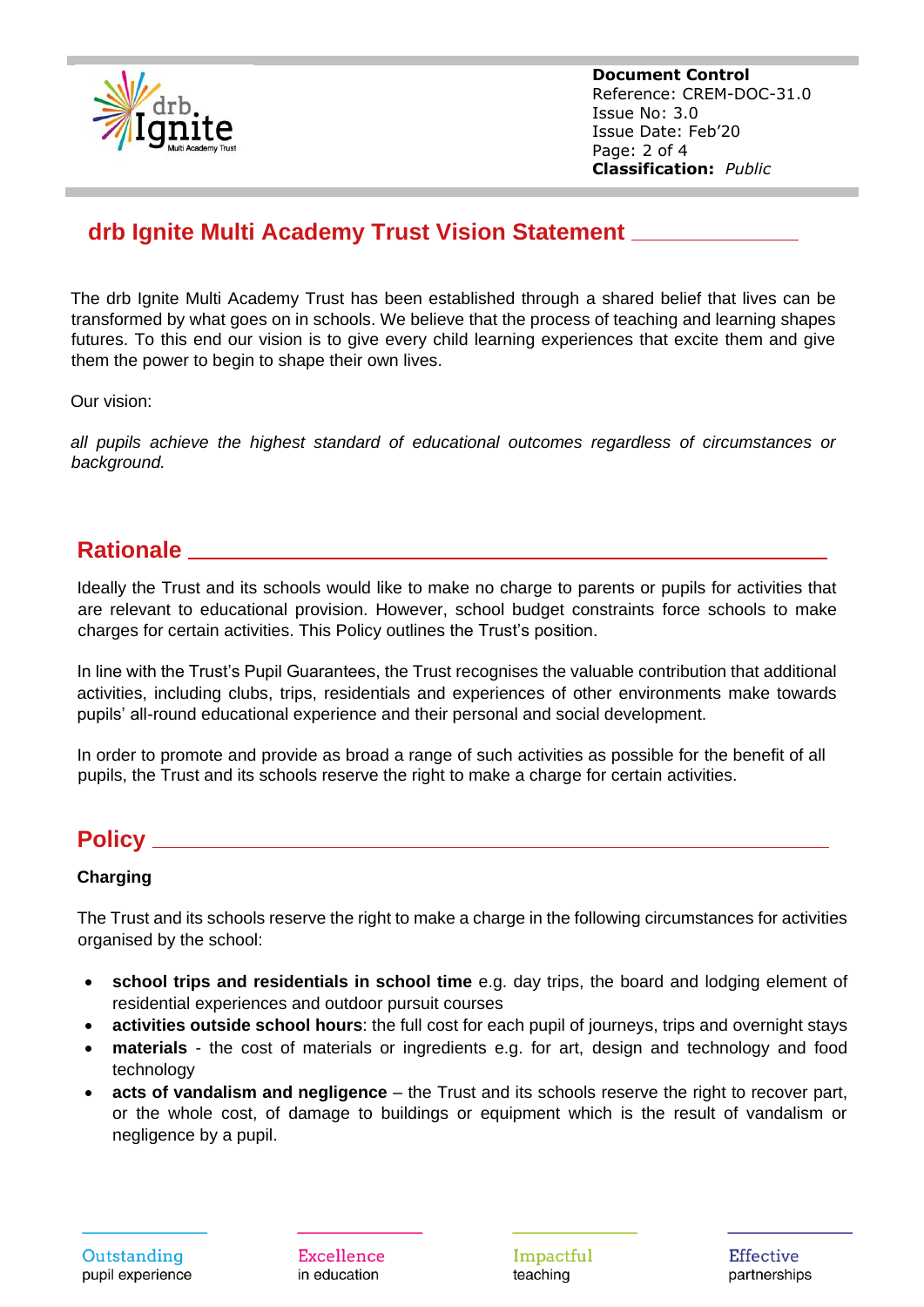

**Document Control** Reference: CREM-DOC-31.0 Issue No: 3.0 Issue Date: Feb'20 Page: 2 of 4 **Classification:** *Public*

## **drb Ignite Multi Academy Trust Vision Statement**

The drb Ignite Multi Academy Trust has been established through a shared belief that lives can be transformed by what goes on in schools. We believe that the process of teaching and learning shapes futures. To this end our vision is to give every child learning experiences that excite them and give them the power to begin to shape their own lives.

Our vision:

*all pupils achieve the highest standard of educational outcomes regardless of circumstances or background.*

## **Rationale**

Ideally the Trust and its schools would like to make no charge to parents or pupils for activities that are relevant to educational provision. However, school budget constraints force schools to make charges for certain activities. This Policy outlines the Trust's position.

In line with the Trust's Pupil Guarantees, the Trust recognises the valuable contribution that additional activities, including clubs, trips, residentials and experiences of other environments make towards pupils' all-round educational experience and their personal and social development.

In order to promote and provide as broad a range of such activities as possible for the benefit of all pupils, the Trust and its schools reserve the right to make a charge for certain activities.

## **Policy**

#### **Charging**

The Trust and its schools reserve the right to make a charge in the following circumstances for activities organised by the school:

- **school trips and residentials in school time** e.g. day trips, the board and lodging element of residential experiences and outdoor pursuit courses
- **activities outside school hours**: the full cost for each pupil of journeys, trips and overnight stays
- **materials** the cost of materials or ingredients e.g. for art, design and technology and food technology
- **acts of vandalism and negligence** the Trust and its schools reserve the right to recover part, or the whole cost, of damage to buildings or equipment which is the result of vandalism or negligence by a pupil.

Excellence in education

Impactful teaching

Effective partnerships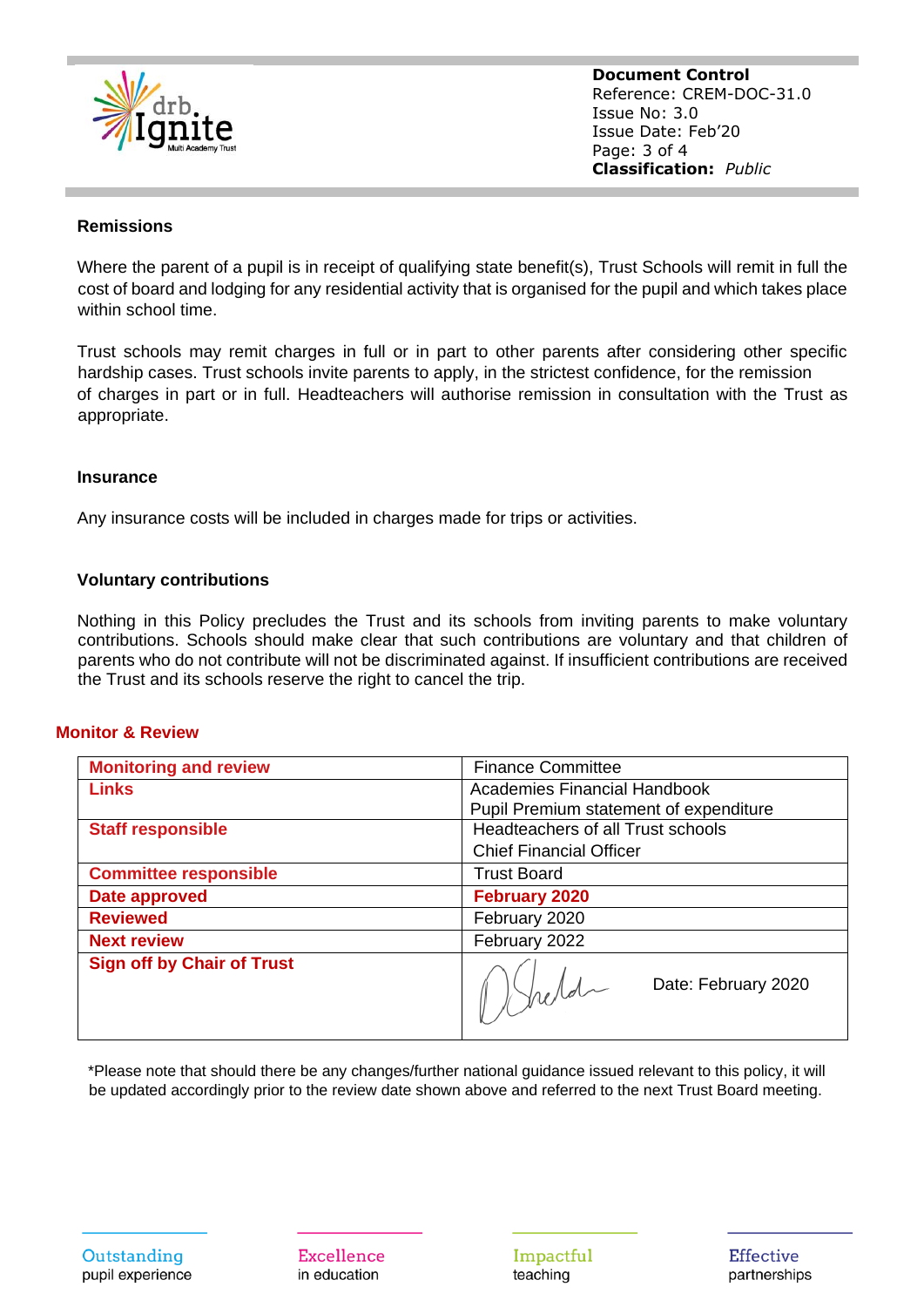

**Document Control** Reference: CREM-DOC-31.0 Issue No: 3.0 Issue Date: Feb'20 Page: 3 of 4 **Classification:** *Public*

#### **Remissions**

Where the parent of a pupil is in receipt of qualifying state benefit(s), Trust Schools will remit in full the cost of board and lodging for any residential activity that is organised for the pupil and which takes place within school time.

Trust schools may remit charges in full or in part to other parents after considering other specific hardship cases. Trust schools invite parents to apply, in the strictest confidence, for the remission of charges in part or in full. Headteachers will authorise remission in consultation with the Trust as appropriate.

#### **Insurance**

Any insurance costs will be included in charges made for trips or activities.

#### **Voluntary contributions**

Nothing in this Policy precludes the Trust and its schools from inviting parents to make voluntary contributions. Schools should make clear that such contributions are voluntary and that children of parents who do not contribute will not be discriminated against. If insufficient contributions are received the Trust and its schools reserve the right to cancel the trip.

#### **Monitor & Review**

| <b>Monitoring and review</b>      | <b>Finance Committee</b>                 |
|-----------------------------------|------------------------------------------|
| <b>Links</b>                      | Academies Financial Handbook             |
|                                   | Pupil Premium statement of expenditure   |
| <b>Staff responsible</b>          | <b>Headteachers of all Trust schools</b> |
|                                   | <b>Chief Financial Officer</b>           |
| <b>Committee responsible</b>      | <b>Trust Board</b>                       |
| Date approved                     | <b>February 2020</b>                     |
| <b>Reviewed</b>                   | February 2020                            |
| <b>Next review</b>                | February 2022                            |
| <b>Sign off by Chair of Trust</b> | Date: February 2020                      |

\*Please note that should there be any changes/further national guidance issued relevant to this policy, it will be updated accordingly prior to the review date shown above and referred to the next Trust Board meeting.

Excellence in education

Impactful teaching